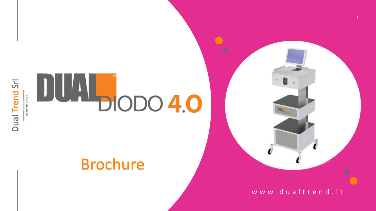



#### Brochure



www.dualtrend.it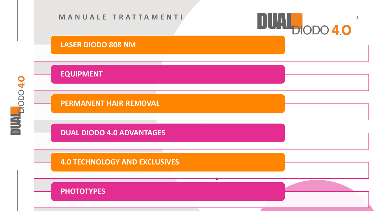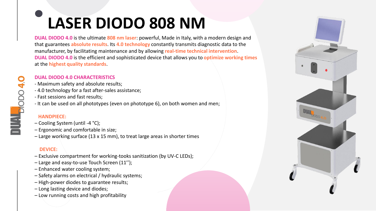# **LASER DIODO 808 NM**

**DUAL DIODO 4.0** is the ultimate **808 nm laser**: powerful, Made in Italy, with a modern design and that guarantees **absolute results**. Its **4.0 technology** constantly transmits diagnostic data to the manufacturer, by facilitating maintenance and by allowing **real-time technical intervention**. **DUAL DIODO 4.0** is the efficient and sophisticated device that allows you to **optimize working times**  at the **highest quality standards**.

#### **DUAL DIODO 4.0 CHARACTERISTICS**

- Maximum safety and absolute results;
- 4.0 technology for a fast after-sales assistance;
- Fast sessions and fast results;
- It can be used on all phototypes (even on phototype 6), on both women and men;

#### **HANDPIECE:**

- Cooling System (until -4 °C);
- Ergonomic and comfortable in size;
- Large working surface (13 x 15 mm), to treat large areas in shorter times

#### **DEVICE:**

- Exclusive compartment for working-tooks sanitization (by UV-C LEDs);
- Large and easy-to-use Touch Screen (11'');
- Enhanced water cooling system;
- Safety alarms on electrical / hydraulic systems;
- High-power diodes to guarantee results;
- Long lasting device and diodes;
- Low running costs and high profitability

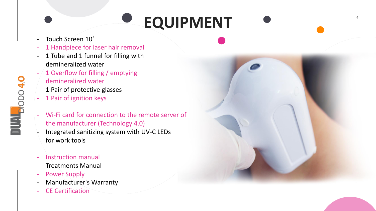### **EQUIPMENT**

- Touch Screen 10'
- 1 Handpiece for laser hair removal
- 1 Tube and 1 funnel for filling with demineralized water
- 1 Overflow for filling / emptying demineralized water
- 1 Pair of protective glasses
- 1 Pair of ignition keys

**1044**<br>BIODO 4.0 **D**<br> **DEPERTURE** 

- Wi-Fi card for connection to the remote server of the manufacturer (Technology 4.0)
- Integrated sanitizing system with UV-C LEDs for work tools
- Instruction manual
- Treatments Manual
- Power Supply
- Manufacturer's Warranty
- CE Certification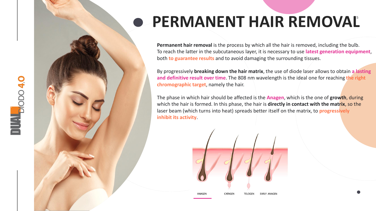### **• PERMANENT HAIR REMOVAL**

**Permanent hair removal** is the process by which all the hair is removed, including the bulb. To reach the latter in the subcutaneous layer, it is necessary to use **latest generation equipment**, both **to guarantee results** and to avoid damaging the surrounding tissues.

By progressively **breaking down the hair matrix**, the use of diode laser allows to obtain **a lasting and definitive result over time**. The 808 nm wavelength is the ideal one for reaching **the right chromographic target**, namely the hair.

The phase in which hair should be affected is the **Anagen**, which is the one of **growth**, during which the hair is formed. In this phase, the hair is **directly in contact with the matrix**, so the laser beam (which turns into heat) spreads better itself on the matrix, to **progressively inhibit its activity** .



**1004.0 D**<br> **DEPERTURE**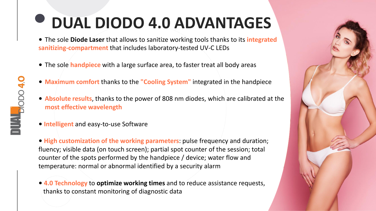## **DUAL DIODO 4.0 ADVANTAGES**

• The sole **Diode Laser** that allows to sanitize working tools thanks to its **integrated sanitizing-compartment** that includes laboratory-tested UV-C LEDs

- The sole **handpiece** with a large surface area, to faster treat all body areas
- **Maximum comfort** thanks to the **"Cooling System"** integrated in the handpiece
- **Absolute results**, thanks to the power of 808 nm diodes, which are calibrated at the **most effective wavelength**
- **Intelligent** and easy-to-use Software

• **High customization of the working parameters**: pulse frequency and duration; fluency; visible data (on touch screen); partial spot counter of the session; total counter of the spots performed by the handpiece / device; water flow and temperature: normal or abnormal identified by a security alarm

• **4.0 Technology** to **optimize working times** and to reduce assistance requests, thanks to constant monitoring of diagnostic data

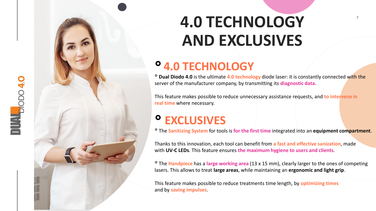

### **4.0 TECHNOLOGY AND EXCLUSIVES**

#### **°4.0 TECHNOLOGY**

° **Dual Diodo 4.0** is the ultimate **4.0 technology** diode laser: it is constantly connected with the server of the manufacturer company, by transmitting its **diagnostic data** .

This feature makes possible to reduce unnecessary assistance requests, and **to intervene in real time** where necessary.

#### **° EXCLUSIVES**

° The **Sanitizing System** for tools is **for the first time** integrated into an **equipment compartment** .

Thanks to this innovation, each tool can benefit from **a fast and effective sanization**, made with **UV -C LEDs**. This feature ensures **the maximum hygiene to users and clients** .

<sup>o</sup> The Handpiece has a large working area (13 x 15 mm), clearly larger to the ones of competing lasers. This allows to treat **large areas**, while maintaining an **ergonomic and light grip** .

This feature makes possible to reduce treatments time length, by **optimizing times**  and by **saving impulses** .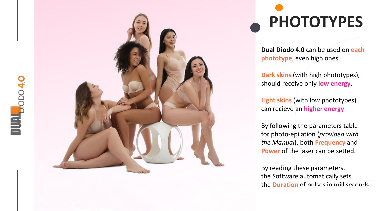



# **PHOTOTYPES**

**Dual Diodo 4.0** can be used on **each phototype**, even high ones .

**Dark skins** (with high phototypes ), should receive only **low energy** .

**Light skins** (with low phototypes ) can recieve an **higher energy** .

By following the parameters table for photo -epilation (*provided with the Manual*), both **Frequency** and **Power** of the laser can be setted.

By reading these parameters, the Software automatically sets the **Duration** of pulses in milliseconds.